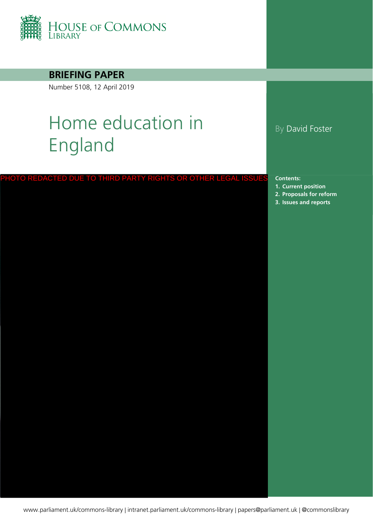

**BRIEFING PAPER**

Number 5108, 12 April 2019

# Home education in England

PHOTO REDACTED DUE TO THIRD PARTY RIGHTS OR OTHER LEGAL ISSUES

#### By David Foster

**Contents:**

- **1. [Current position](#page-3-0)**
- **2. [Proposals for reform](#page-14-0)**
- **3. [Issues and reports](#page-24-0)**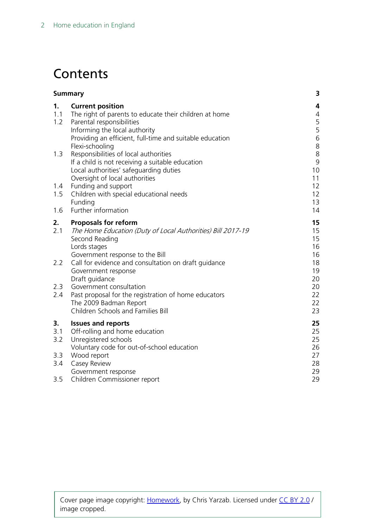## **Contents**

| <b>Summary</b>   |                                                                                                                                                                                                                                                | 3                                      |
|------------------|------------------------------------------------------------------------------------------------------------------------------------------------------------------------------------------------------------------------------------------------|----------------------------------------|
| 1.<br>1.1<br>1.2 | <b>Current position</b><br>The right of parents to educate their children at home<br>Parental responsibilities<br>Informing the local authority<br>Providing an efficient, full-time and suitable education<br>Flexi-schooling                 | 4<br>4<br>5<br>5<br>$\sqrt{6}$<br>8    |
| 1.3              | Responsibilities of local authorities<br>If a child is not receiving a suitable education<br>Local authorities' safeguarding duties<br>Oversight of local authorities                                                                          | $\,8\,$<br>9<br>10<br>11               |
| 1.4<br>1.5       | Funding and support<br>Children with special educational needs<br>Funding                                                                                                                                                                      | 12<br>12<br>13                         |
| 1.6              | Further information                                                                                                                                                                                                                            | 14                                     |
| 2.<br>2.1<br>2.2 | <b>Proposals for reform</b><br>The Home Education (Duty of Local Authorities) Bill 2017-19<br>Second Reading<br>Lords stages<br>Government response to the Bill<br>Call for evidence and consultation on draft guidance<br>Government response | 15<br>15<br>15<br>16<br>16<br>18<br>19 |
| 2.3<br>2.4       | Draft guidance<br>Government consultation<br>Past proposal for the registration of home educators<br>The 2009 Badman Report<br>Children Schools and Families Bill                                                                              | 20<br>20<br>22<br>22<br>23             |
| 3.<br>3.1<br>3.2 | <b>Issues and reports</b><br>Off-rolling and home education<br>Unregistered schools<br>Voluntary code for out-of-school education                                                                                                              | 25<br>25<br>25<br>26                   |
| 3.3<br>3.4       | Wood report<br>Casey Review<br>Government response                                                                                                                                                                                             | 27<br>28<br>29                         |
| 3.5              | Children Commissioner report                                                                                                                                                                                                                   | 29                                     |

Cover page image copyright: [Homework,](https://www.flickr.com/photos/chrisyarzab/5659535221/in/photolist-9C7ADt-4xkD8E-pZZHV3-pvjSTA-hR5fq9-48Y4SU-i8Pa8m-6w3gWF-ecksuK-yrFwd3-cy4Feq-onhoLp-dPsJnC-63ik9q-4uLRPT-7JadBz-dgeuKN-abm61S-4EuvkH-dgebji-iwkib-dwAY1e-5Z4F2v-hR5okq-qLarkX-3DNYem-cgKSa-dgeAoE-dhQMmR-7JScQn-8hzjXM-i7n1f9-dEdEXB-dpvU4o-9mCec8-5QAtwU-cGAFgG-82JAuz-874xE-NPk5k-5vDSaf-8yksB8-7jPtyG-dge7Y5-dgejm6-8yktgg-dnrYw3-81Jm4u-e1z7dr-5XugFd) by Chris Yarzab. Licensed under [CC BY 2.0](https://creativecommons.org/licenses/by-nc-sa/2.0/) / image cropped.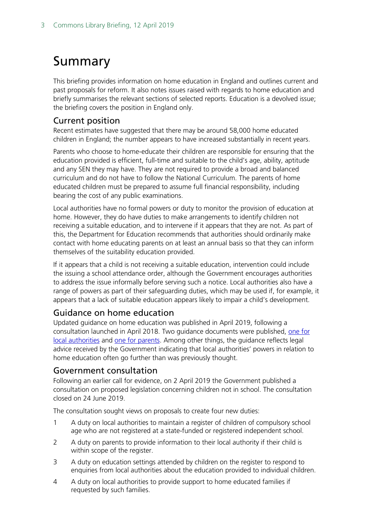## <span id="page-2-0"></span>Summary

This briefing provides information on home education in England and outlines current and past proposals for reform. It also notes issues raised with regards to home education and briefly summarises the relevant sections of selected reports. Education is a devolved issue; the briefing covers the position in England only.

#### Current position

Recent estimates have suggested that there may be around 58,000 home educated children in England; the number appears to have increased substantially in recent years.

Parents who choose to home-educate their children are responsible for ensuring that the education provided is efficient, full-time and suitable to the child's age, ability, aptitude and any SEN they may have. They are not required to provide a broad and balanced curriculum and do not have to follow the National Curriculum. The parents of home educated children must be prepared to assume full financial responsibility, including bearing the cost of any public examinations.

Local authorities have no formal powers or duty to monitor the provision of education at home. However, they do have duties to make arrangements to identify children not receiving a suitable education, and to intervene if it appears that they are not. As part of this, the Department for Education recommends that authorities should ordinarily make contact with home educating parents on at least an annual basis so that they can inform themselves of the suitability education provided.

If it appears that a child is not receiving a suitable education, intervention could include the issuing a school attendance order, although the Government encourages authorities to address the issue informally before serving such a notice. Local authorities also have a range of powers as part of their safeguarding duties, which may be used if, for example, it appears that a lack of suitable education appears likely to impair a child's development.

#### Guidance on home education

Updated guidance on home education was published in April 2019, following a consultation launched in April 2018. Two guidance documents were published, one for [local authorities](https://assets.publishing.service.gov.uk/government/uploads/system/uploads/attachment_data/file/791527/Elective_home_education_gudiance_for_LAv2.0.pdf) and [one for parents.](https://assets.publishing.service.gov.uk/government/uploads/system/uploads/attachment_data/file/791528/EHE_guidance_for_parentsafterconsultationv2.2.pdf) Among other things, the guidance reflects legal advice received by the Government indicating that local authorities' powers in relation to home education often go further than was previously thought.

#### Government consultation

Following an earlier call for evidence, on 2 April 2019 the Government published a consultation on proposed legislation concerning children not in school. The consultation closed on 24 June 2019.

The consultation sought views on proposals to create four new duties:

- 1 A duty on local authorities to maintain a register of children of compulsory school age who are not registered at a state-funded or registered independent school.
- 2 A duty on parents to provide information to their local authority if their child is within scope of the register.
- 3 A duty on education settings attended by children on the register to respond to enquiries from local authorities about the education provided to individual children.
- 4 A duty on local authorities to provide support to home educated families if requested by such families.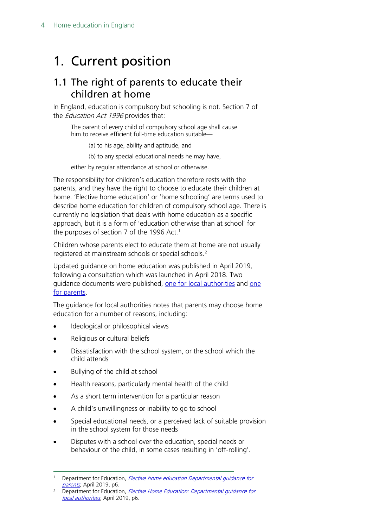## <span id="page-3-0"></span>1. Current position

### <span id="page-3-1"></span>1.1 The right of parents to educate their children at home

In England, education is compulsory but schooling is not. Section 7 of the *Education Act 1996* provides that:

The parent of every child of compulsory school age shall cause him to receive efficient full-time education suitable—

(a) to his age, ability and aptitude, and

(b) to any special educational needs he may have,

either by regular attendance at school or otherwise.

The responsibility for children's education therefore rests with the parents, and they have the right to choose to educate their children at home. 'Elective home education' or 'home schooling' are terms used to describe home education for children of compulsory school age. There is currently no legislation that deals with home education as a specific approach, but it is a form of 'education otherwise than at school' for the purposes of section 7 of the 1996 Act. [1](#page-3-2)

Children whose parents elect to educate them at home are not usually registered at mainstream schools or special schools.<sup>[2](#page-3-3)</sup>

Updated guidance on home education was published in April 2019, following a consultation which was launched in April 2018. Two guidance documents were published, [one for local authorities](https://assets.publishing.service.gov.uk/government/uploads/system/uploads/attachment_data/file/791527/Elective_home_education_gudiance_for_LAv2.0.pdf) and one [for parents.](https://assets.publishing.service.gov.uk/government/uploads/system/uploads/attachment_data/file/791528/EHE_guidance_for_parentsafterconsultationv2.2.pdf)

The guidance for local authorities notes that parents may choose home education for a number of reasons, including:

- Ideological or philosophical views
- Religious or cultural beliefs
- Dissatisfaction with the school system, or the school which the child attends
- Bullying of the child at school
- Health reasons, particularly mental health of the child
- As a short term intervention for a particular reason
- A child's unwillingness or inability to go to school
- Special educational needs, or a perceived lack of suitable provision in the school system for those needs
- Disputes with a school over the education, special needs or behaviour of the child, in some cases resulting in 'off-rolling'.

<span id="page-3-2"></span>Department for Education, *Elective home education Departmental quidance for* [parents](https://assets.publishing.service.gov.uk/government/uploads/system/uploads/attachment_data/file/791528/EHE_guidance_for_parentsafterconsultationv2.2.pdf), April 2019, p6.

<span id="page-3-3"></span><sup>&</sup>lt;sup>2</sup> Department for Education, *[Elective Home Education:](https://assets.publishing.service.gov.uk/government/uploads/system/uploads/attachment_data/file/791527/Elective_home_education_gudiance_for_LAv2.0.pdf) Departmental quidance for* local authorities, April 2019, p6.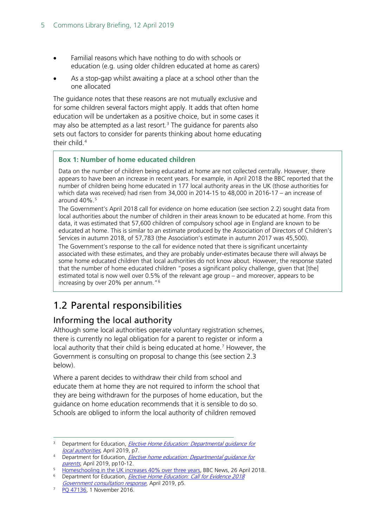- Familial reasons which have nothing to do with schools or education (e.g. using older children educated at home as carers)
- As a stop-gap whilst awaiting a place at a school other than the one allocated

The guidance notes that these reasons are not mutually exclusive and for some children several factors might apply. It adds that often home education will be undertaken as a positive choice, but in some cases it may also be attempted as a last resort.<sup>3</sup> The quidance for parents also sets out factors to consider for parents thinking about home educating their child.<sup>[4](#page-4-3)</sup>

#### **Box 1: Number of home educated children**

Data on the number of children being educated at home are not collected centrally. However, there appears to have been an increase in recent years. For example, in April 2018 the BBC reported that the number of children being home educated in 177 local authority areas in the UK (those authorities for which data was received) had risen from 34,000 in 2014-15 to 48,000 in 2016-17 – an increase of around 40%.<sup>[5](#page-4-4)</sup>

The Government's April 2018 call for evidence on home education (see section 2.2) sought data from local authorities about the number of children in their areas known to be educated at home. From this data, it was estimated that 57,600 children of compulsory school age in England are known to be educated at home. This is similar to an estimate produced by the Association of Directors of Children's Services in autumn 2018, of 57,783 (the Association's estimate in autumn 2017 was 45,500).

The Government's response to the call for evidence noted that there is significant uncertainty associated with these estimates, and they are probably under-estimates because there will always be some home educated children that local authorities do not know about. However, the response stated that the number of home educated children "poses a significant policy challenge, given that [the] estimated total is now well over 0.5% of the relevant age group – and moreover, appears to be increasing by over 20% per annum."[6](#page-4-5)

## <span id="page-4-0"></span>1.2 Parental responsibilities

#### <span id="page-4-1"></span>Informing the local authority

Although some local authorities operate voluntary registration schemes, there is currently no legal obligation for a parent to register or inform a local authority that their child is being educated at home.<sup>7</sup> However, the Government is consulting on proposal to change this (see section 2.3 below).

Where a parent decides to withdraw their child from school and educate them at home they are not required to inform the school that they are being withdrawn for the purposes of home education, but the guidance on home education recommends that it is sensible to do so. Schools are obliged to inform the local authority of children removed

<span id="page-4-2"></span><sup>&</sup>lt;sup>3</sup> Department for Education, *[Elective Home Education:](https://assets.publishing.service.gov.uk/government/uploads/system/uploads/attachment_data/file/791527/Elective_home_education_gudiance_for_LAv2.0.pdf) Departmental quidance for* local authorities, April 2019, p7.

<span id="page-4-3"></span><sup>&</sup>lt;sup>4</sup> Department for Education, *Elective home education: Departmental guidance for* [parents](https://assets.publishing.service.gov.uk/government/uploads/system/uploads/attachment_data/file/791528/EHE_guidance_for_parentsafterconsultationv2.2.pdf), April 2019, pp10-12.

<span id="page-4-4"></span><sup>&</sup>lt;sup>5</sup> [Homeschooling in the UK increases 40% over three years,](http://www.bbc.co.uk/news/uk-england-42624220) BBC News, 26 April 2018.

<span id="page-4-5"></span><sup>&</sup>lt;sup>6</sup> Department for Education, *Elective Home Education: Call for Evidence 2018* 

<span id="page-4-6"></span>Government consultation response[,](https://assets.publishing.service.gov.uk/government/uploads/system/uploads/attachment_data/file/791552/EHECfEResponseDocumentv9.4.pdf) April 2019, p5.<br><sup>7</sup> [PQ 47136,](http://www.parliament.uk/written-questions-answers-statements/written-question/commons/2016-10-07/47136) 1 November 2016.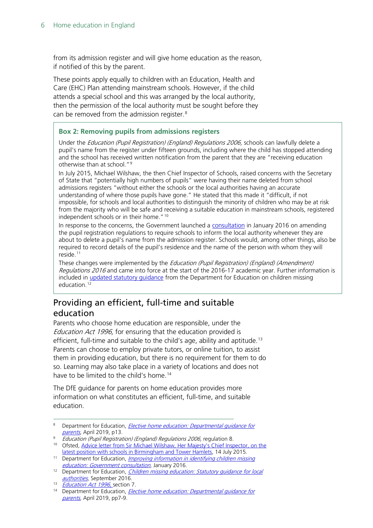from its admission register and will give home education as the reason, if notified of this by the parent.

These points apply equally to children with an Education, Health and Care (EHC) Plan attending mainstream schools. However, if the child attends a special school and this was arranged by the local authority, then the permission of the local authority must be sought before they can be removed from the admission register.<sup>[8](#page-5-1)</sup>

#### **Box 2: Removing pupils from admissions registers**

Under the Education (Pupil Registration) (England) Regulations 2006, schools can lawfully delete a pupil's name from the register under fifteen grounds, including where the child has stopped attending and the school has received written notification from the parent that they are "receiving education otherwise than at school."<sup>[9](#page-5-4)</sup>

In July 2015, Michael Wilshaw, the then Chief Inspector of Schools, raised concerns with the Secretary of State that "potentially high numbers of pupils" were having their name deleted from school admissions registers "without either the schools or the local authorities having an accurate understanding of where those pupils have gone." He stated that this made it "difficult, if not impossible, for schools and local authorities to distinguish the minority of children who may be at risk from the majority who will be safe and receiving a suitable education in mainstream schools, registered independent schools or in their home."[10](#page-5-5)

In response to the concerns, the Government launched a [consultation](https://www.gov.uk/government/consultations/identifying-children-who-are-missing-education) in January 2016 on amending the pupil registration regulations to require schools to inform the local authority whenever they are about to delete a pupil's name from the admission register. Schools would, among other things, also be required to record details of the pupil's residence and the name of the person with whom they will reside.<sup>[11](#page-5-6)</sup>

These changes were implemented by the *Education (Pupil Registration) (England) (Amendment)* Regulations 2016 and came into force at the start of the 2016-17 academic year. Further information is included in updated statutory quidance from the Department for Education on children missing education.<sup>[12](#page-5-7)</sup>

#### <span id="page-5-0"></span>Providing an efficient, full-time and suitable education

Parents who choose home education are responsible, under the Education Act 1996, for ensuring that the education provided is efficient, full-time and suitable to the child's age, ability and aptitude.<sup>[13](#page-5-2)</sup> Parents can choose to employ private tutors, or online tuition, to assist them in providing education, but there is no requirement for them to do so. Learning may also take place in a variety of locations and does not have to be limited to the child's home.<sup>[14](#page-5-3)</sup>

The DfE guidance for parents on home education provides more information on what constitutes an efficient, full-time, and suitable education.

<span id="page-5-1"></span><sup>&</sup>lt;sup>8</sup> Department for Education, *Elective home education: Departmental quidance for* [parents](https://assets.publishing.service.gov.uk/government/uploads/system/uploads/attachment_data/file/791528/EHE_guidance_for_parentsafterconsultationv2.2.pdf), April 2019, p13.

<span id="page-5-4"></span><sup>9</sup> Education (Pupil Registration) (England) Regulations 2006, regulation 8.

<span id="page-5-5"></span><sup>&</sup>lt;sup>10</sup> Ofsted, Advice letter from Sir Michael Wilshaw, Her Majesty's Chief Inspector, on the [latest position with schools in Birmingham and Tower Hamlets,](https://www.gov.uk/government/publications/ofsted-advice-note-on-schools-in-birmingham-and-tower-hamlets) 14 July 2015.

<span id="page-5-6"></span><sup>&</sup>lt;sup>11</sup> Department for Education, *Improving information in identifying children missing* [education: Government consultation](https://www.gov.uk/government/consultations/identifying-children-who-are-missing-education), January 2016.

<span id="page-5-7"></span><sup>&</sup>lt;sup>12</sup> Department for Education, *Children missing education: Statutory guidance for local* [authorities](https://www.gov.uk/government/uploads/system/uploads/attachment_data/file/550416/Children_Missing_Education_-_statutory_guidance.pdf), September 2016.

<span id="page-5-2"></span><sup>&</sup>lt;sup>13</sup> [Education Act 1996,](http://www.legislation.gov.uk/ukpga/1996/56/part/VI/chapter/II/crossheading/school-attendance-orders) section 7.

<span id="page-5-3"></span><sup>&</sup>lt;sup>14</sup> Department for Education, *Elective home education: Departmental quidance for* [parents,](https://assets.publishing.service.gov.uk/government/uploads/system/uploads/attachment_data/file/791528/EHE_guidance_for_parentsafterconsultationv2.2.pdf) April 2019, pp7-9.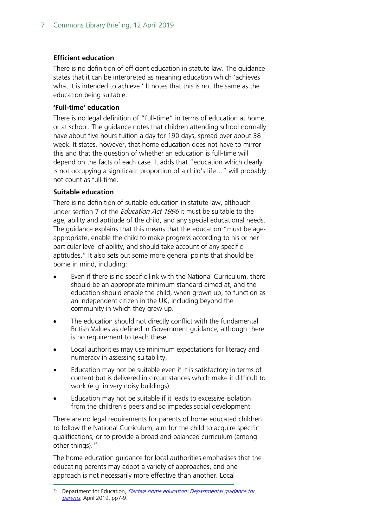#### **Efficient education**

There is no definition of efficient education in statute law. The guidance states that it can be interpreted as meaning education which 'achieves what it is intended to achieve.' It notes that this is not the same as the education being suitable.

#### **'Full-time' education**

There is no legal definition of "full-time" in terms of education at home, or at school. The guidance notes that children attending school normally have about five hours tuition a day for 190 days, spread over about 38 week. It states, however, that home education does not have to mirror this and that the question of whether an education is full-time will depend on the facts of each case. It adds that "education which clearly is not occupying a significant proportion of a child's life…" will probably not count as full-time.

#### **Suitable education**

There is no definition of suitable education in statute law, although under section 7 of the *Education Act 1996* it must be suitable to the age, ability and aptitude of the child, and any special educational needs. The guidance explains that this means that the education "must be ageappropriate, enable the child to make progress according to his or her particular level of ability, and should take account of any specific aptitudes." It also sets out some more general points that should be borne in mind, including:

- Even if there is no specific link with the National Curriculum, there should be an appropriate minimum standard aimed at, and the education should enable the child, when grown up, to function as an independent citizen in the UK, including beyond the community in which they grew up.
- The education should not directly conflict with the fundamental British Values as defined in Government guidance, although there is no requirement to teach these.
- Local authorities may use minimum expectations for literacy and numeracy in assessing suitability.
- Education may not be suitable even if it is satisfactory in terms of content but is delivered in circumstances which make it difficult to work (e.g. in very noisy buildings).
- Education may not be suitable if it leads to excessive isolation from the children's peers and so impedes social development.

There are no legal requirements for parents of home educated children to follow the National Curriculum, aim for the child to acquire specific qualifications, or to provide a broad and balanced curriculum (among other things).[15](#page-6-0)

The home education guidance for local authorities emphasises that the educating parents may adopt a variety of approaches, and one approach is not necessarily more effective than another. Local

<span id="page-6-0"></span>Department for Education, Elective home education: Departmental guidance for [parents,](https://assets.publishing.service.gov.uk/government/uploads/system/uploads/attachment_data/file/791528/EHE_guidance_for_parentsafterconsultationv2.2.pdf) April 2019, pp7-9.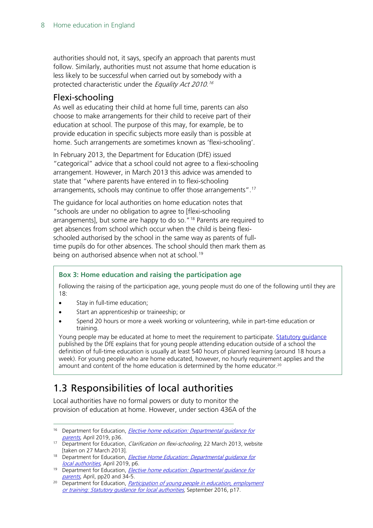authorities should not, it says, specify an approach that parents must follow. Similarly, authorities must not assume that home education is less likely to be successful when carried out by somebody with a protected characteristic under the *Equality Act 2010.<sup>[16](#page-7-2)</sup>* 

#### <span id="page-7-0"></span>Flexi-schooling

As well as educating their child at home full time, parents can also choose to make arrangements for their child to receive part of their education at school. The purpose of this may, for example, be to provide education in specific subjects more easily than is possible at home. Such arrangements are sometimes known as 'flexi-schooling'.

In February 2013, the Department for Education (DfE) issued "categorical" advice that a school could not agree to a flexi-schooling arrangement. However, in March 2013 this advice was amended to state that "where parents have entered in to flexi-schooling arrangements, schools may continue to offer those arrangements". [17](#page-7-3)

The guidance for local authorities on home education notes that "schools are under no obligation to agree to [flexi-schooling arrangements], but some are happy to do so."<sup>[18](#page-7-4)</sup> Parents are required to get absences from school which occur when the child is being flexischooled authorised by the school in the same way as parents of fulltime pupils do for other absences. The school should then mark them as being on authorised absence when not at school.<sup>[19](#page-7-5)</sup>

#### **Box 3: Home education and raising the participation age**

Following the raising of the participation age, young people must do one of the following until they are 18:

- Stay in full-time education;
- Start an apprenticeship or traineeship; or
- Spend 20 hours or more a week working or volunteering, while in part-time education or training.

Young people may be educated at home to meet the requirement to participate. Statutory quidance published by the DfE explains that for young people attending education outside of a school the definition of full-time education is usually at least 540 hours of planned learning (around 18 hours a week). For young people who are home educated, however, no hourly requirement applies and the amount and content of the home education is determined by the home educator.<sup>[20](#page-7-6)</sup>

## <span id="page-7-1"></span>1.3 Responsibilities of local authorities

Local authorities have no formal powers or duty to monitor the provision of education at home. However, under section 436A of the

<span id="page-7-2"></span><sup>&</sup>lt;sup>16</sup> Department for Education, *Elective home education: Departmental guidance for* [parents,](https://assets.publishing.service.gov.uk/government/uploads/system/uploads/attachment_data/file/791528/EHE_guidance_for_parentsafterconsultationv2.2.pdf) April 2019, p36.

<span id="page-7-3"></span> $17$  Department for Education, *Clarification on flexi-schooling*, 22 March 2013, website [taken on 27 March 2013].

<span id="page-7-4"></span><sup>&</sup>lt;sup>18</sup> Department for Education, *[Elective Home Education:](https://assets.publishing.service.gov.uk/government/uploads/system/uploads/attachment_data/file/791527/Elective_home_education_gudiance_for_LAv2.0.pdf) Departmental guidance for*<br>*local authorities*, April 2019, p6.

<span id="page-7-5"></span><sup>&</sup>lt;sup>19</sup> Department for Education, *Elective home education: Departmental guidance for* [parents](https://assets.publishing.service.gov.uk/government/uploads/system/uploads/attachment_data/file/791528/EHE_guidance_for_parentsafterconsultationv2.2.pdf), April, pp20 and 34-5.

<span id="page-7-6"></span><sup>&</sup>lt;sup>20</sup> Department for Education, *Participation of young people in education, employment* or training: Statutory quidance for local authorities, September 2016, p17.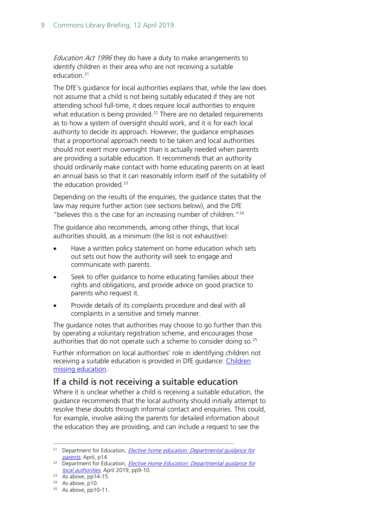Education Act 1996 they do have a duty to make arrangements to identify children in their area who are not receiving a suitable education.<sup>[21](#page-8-1)</sup>

The DfE's guidance for local authorities explains that, while the law does not assume that a child is not being suitably educated if they are not attending school full-time, it does require local authorities to enquire what education is being provided.<sup>[22](#page-8-2)</sup> There are no detailed requirements as to how a system of oversight should work, and it is for each local authority to decide its approach. However, the guidance emphasises that a proportional approach needs to be taken and local authorities should not exert more oversight than is actually needed when parents are providing a suitable education. It recommends that an authority should ordinarily make contact with home educating parents on at least an annual basis so that it can reasonably inform itself of the suitability of the education provided. $23$ 

Depending on the results of the enquiries, the guidance states that the law may require further action (see sections below), and the DfE " believes this is the case for an increasing number of children." $24$ 

The guidance also recommends, among other things, that local authorities should, as a minimum (the list is not exhaustive):

- Have a written policy statement on home education which sets out sets out how the authority will seek to engage and communicate with parents.
- Seek to offer guidance to home educating families about their rights and obligations, and provide advice on good practice to parents who request it.
- Provide details of its complaints procedure and deal with all complaints in a sensitive and timely manner.

The guidance notes that authorities may choose to go further than this by operating a voluntary registration scheme, and encourages those authorities that do not operate such a scheme to consider doing so.<sup>[25](#page-8-5)</sup>

Further information on local authorities' role in identifying children not receiving a suitable education is provided in DfE guidance: Children [missing education.](https://www.gov.uk/government/publications/children-missing-education)

#### <span id="page-8-0"></span>If a child is not receiving a suitable education

Where it is unclear whether a child is receiving a suitable education, the guidance recommends that the local authority should initially attempt to resolve these doubts through informal contact and enquiries. This could, for example, involve asking the parents for detailed information about the education they are providing, and can include a request to see the

<span id="page-8-1"></span><sup>&</sup>lt;sup>21</sup> Department for Education, *Elective home education: Departmental guidance for* [parents](https://assets.publishing.service.gov.uk/government/uploads/system/uploads/attachment_data/file/791528/EHE_guidance_for_parentsafterconsultationv2.2.pdf), April, p14.

<span id="page-8-2"></span><sup>&</sup>lt;sup>22</sup> Department for Education, *[Elective Home Education:](https://assets.publishing.service.gov.uk/government/uploads/system/uploads/attachment_data/file/791527/Elective_home_education_gudiance_for_LAv2.0.pdf) Departmental guidance for* local authorities, April 2019, pp9-10.

<span id="page-8-3"></span> $23$  As above, pp14-15.

<span id="page-8-4"></span><sup>24</sup> As above, p10.

<span id="page-8-5"></span> $25$  As above, pp10-11.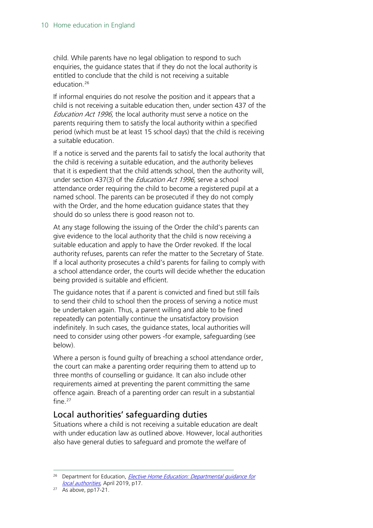child. While parents have no legal obligation to respond to such enquiries, the guidance states that if they do not the local authority is entitled to conclude that the child is not receiving a suitable education. [26](#page-9-1)

If informal enquiries do not resolve the position and it appears that a child is not receiving a suitable education then, under section 437 of the Education Act 1996, the local authority must serve a notice on the parents requiring them to satisfy the local authority within a specified period (which must be at least 15 school days) that the child is receiving a suitable education.

If a notice is served and the parents fail to satisfy the local authority that the child is receiving a suitable education, and the authority believes that it is expedient that the child attends school, then the authority will, under section 437(3) of the *Education Act 1996*, serve a school attendance order requiring the child to become a registered pupil at a named school. The parents can be prosecuted if they do not comply with the Order, and the home education guidance states that they should do so unless there is good reason not to.

At any stage following the issuing of the Order the child's parents can give evidence to the local authority that the child is now receiving a suitable education and apply to have the Order revoked. If the local authority refuses, parents can refer the matter to the Secretary of State. If a local authority prosecutes a child's parents for failing to comply with a school attendance order, the courts will decide whether the education being provided is suitable and efficient.

The guidance notes that if a parent is convicted and fined but still fails to send their child to school then the process of serving a notice must be undertaken again. Thus, a parent willing and able to be fined repeatedly can potentially continue the unsatisfactory provision indefinitely. In such cases, the guidance states, local authorities will need to consider using other powers -for example, safeguarding (see below).

Where a person is found guilty of breaching a school attendance order, the court can make a parenting order requiring them to attend up to three months of counselling or guidance. It can also include other requirements aimed at preventing the parent committing the same offence again. Breach of a parenting order can result in a substantial fine. $27$ 

#### <span id="page-9-0"></span>Local authorities' safeguarding duties

Situations where a child is not receiving a suitable education are dealt with under education law as outlined above. However, local authorities also have general duties to safeguard and promote the welfare of

<span id="page-9-1"></span><sup>&</sup>lt;sup>26</sup> Department for Education, *[Elective Home Education:](https://assets.publishing.service.gov.uk/government/uploads/system/uploads/attachment_data/file/791527/Elective_home_education_gudiance_for_LAv2.0.pdf) Departmental quidance for* local authorities, April 2019, p17.

<span id="page-9-2"></span> $27$  As above, pp17-21.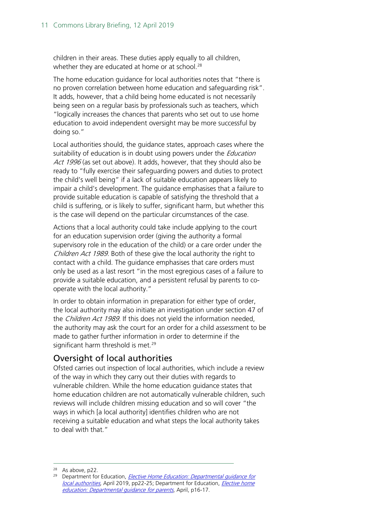children in their areas. These duties apply equally to all children, whether they are educated at home or at school. [28](#page-10-1)

The home education guidance for local authorities notes that "there is no proven correlation between home education and safeguarding risk". It adds, however, that a child being home educated is not necessarily being seen on a regular basis by professionals such as teachers, which "logically increases the chances that parents who set out to use home education to avoid independent oversight may be more successful by doing so."

Local authorities should, the guidance states, approach cases where the suitability of education is in doubt using powers under the *Education* Act 1996 (as set out above). It adds, however, that they should also be ready to "fully exercise their safeguarding powers and duties to protect the child's well being" if a lack of suitable education appears likely to impair a child's development. The guidance emphasises that a failure to provide suitable education is capable of satisfying the threshold that a child is suffering, or is likely to suffer, significant harm, but whether this is the case will depend on the particular circumstances of the case.

Actions that a local authority could take include applying to the court for an education supervision order (giving the authority a formal supervisory role in the education of the child) or a care order under the Children Act 1989. Both of these give the local authority the right to contact with a child. The guidance emphasises that care orders must only be used as a last resort "in the most egregious cases of a failure to provide a suitable education, and a persistent refusal by parents to cooperate with the local authority."

In order to obtain information in preparation for either type of order, the local authority may also initiate an investigation under section 47 of the Children Act 1989. If this does not yield the information needed, the authority may ask the court for an order for a child assessment to be made to gather further information in order to determine if the significant harm threshold is met.<sup>[29](#page-10-2)</sup>

#### <span id="page-10-0"></span>Oversight of local authorities

Ofsted carries out inspection of local authorities, which include a review of the way in which they carry out their duties with regards to vulnerable children. While the home education guidance states that home education children are not automatically vulnerable children, such reviews will include children missing education and so will cover "the ways in which [a local authority] identifies children who are not receiving a suitable education and what steps the local authority takes to deal with that."

<span id="page-10-2"></span><span id="page-10-1"></span><sup>&</sup>lt;sup>28</sup> As above, p22.<br><sup>29</sup> Department for Education, *[Elective Home Education:](https://assets.publishing.service.gov.uk/government/uploads/system/uploads/attachment_data/file/791527/Elective_home_education_gudiance_for_LAv2.0.pdf) Departmental guidance for* local authorities, April 2019, pp22-25; Department for Education, Elective home [education: Departmental guidance for parents](https://assets.publishing.service.gov.uk/government/uploads/system/uploads/attachment_data/file/791528/EHE_guidance_for_parentsafterconsultationv2.2.pdf), April, p16-17.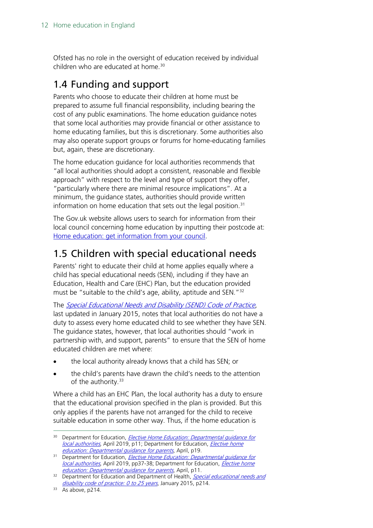Ofsted has no role in the oversight of education received by individual children who are educated at home.<sup>[30](#page-11-2)</sup>

## <span id="page-11-0"></span>1.4 Funding and support

Parents who choose to educate their children at home must be prepared to assume full financial responsibility, including bearing the cost of any public examinations. The home education guidance notes that some local authorities may provide financial or other assistance to home educating families, but this is discretionary. Some authorities also may also operate support groups or forums for home-educating families but, again, these are discretionary.

The home education guidance for local authorities recommends that "all local authorities should adopt a consistent, reasonable and flexible approach" with respect to the level and type of support they offer, "particularly where there are minimal resource implications". At a minimum, the guidance states, authorities should provide written information on home education that sets out the legal position.<sup>[31](#page-11-3)</sup>

The Gov.uk website allows users to search for information from their local council concerning home education by inputting their postcode at: [Home education: get information from your council.](https://www.gov.uk/home-schooling-information-council)

## <span id="page-11-1"></span>1.5 Children with special educational needs

Parents' right to educate their child at home applies equally where a child has special educational needs (SEN), including if they have an Education, Health and Care (EHC) Plan, but the education provided must be "suitable to the child's age, ability, aptitude and SEN."<sup>[32](#page-11-4)</sup>

The [Special Educational Needs and Disability \(SEND\) Code of Practice](https://www.gov.uk/government/publications/send-code-of-practice-0-to-25), [last updated in January 2015, n](https://www.gov.uk/government/publications/send-code-of-practice-0-to-25)otes that local authorities do not have a duty to assess every home educated child to see whether they have SEN. The guidance states, however, that local authorities should "work in partnership with, and support, parents" to ensure that the SEN of home educated children are met where:

- the local authority already knows that a child has SEN; or
- the child's parents have drawn the child's needs to the attention of the authority.<sup>[33](#page-11-5)</sup>

Where a child has an EHC Plan, the local authority has a duty to ensure that the educational provision specified in the plan is provided. But this only applies if the parents have not arranged for the child to receive suitable education in some other way. Thus, if the home education is

<span id="page-11-2"></span><sup>&</sup>lt;sup>30</sup> Department for Education, *[Elective Home Education:](https://assets.publishing.service.gov.uk/government/uploads/system/uploads/attachment_data/file/791527/Elective_home_education_gudiance_for_LAv2.0.pdf) Departmental guidance for* local authorities, April 2019, p11; Department for Education, *Elective home* education: Departmental quidance for parents, April, p19.

<span id="page-11-3"></span><sup>&</sup>lt;sup>31</sup> Department for Education, *Elective [Home Education:](https://assets.publishing.service.gov.uk/government/uploads/system/uploads/attachment_data/file/791527/Elective_home_education_gudiance_for_LAv2.0.pdf) Departmental guidance for* local authorities, April 2019, pp37-38; Department for Education, *Elective home* education: Departmental quidance for parents, April, p11.

<span id="page-11-4"></span><sup>&</sup>lt;sup>32</sup> Department for Education and Department of Health, **Special educational needs and** [disability code of practice: 0 to 25 years](https://www.gov.uk/government/publications/send-code-of-practice-0-to-25), January 2015, p214.

<span id="page-11-5"></span><sup>&</sup>lt;sup>33</sup> As above, p214.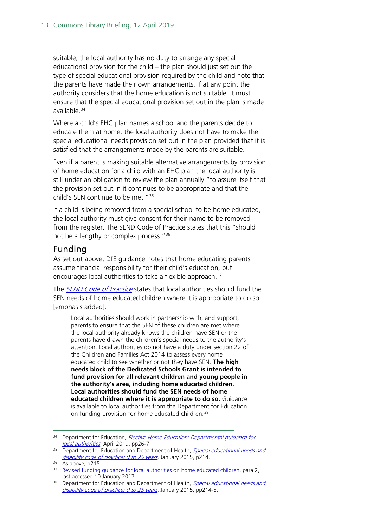suitable, the local authority has no duty to arrange any special educational provision for the child – the plan should just set out the type of special educational provision required by the child and note that the parents have made their own arrangements. If at any point the authority considers that the home education is not suitable, it must ensure that the special educational provision set out in the plan is made available.<sup>[34](#page-12-1)</sup>

Where a child's EHC plan names a school and the parents decide to educate them at home, the local authority does not have to make the special educational needs provision set out in the plan provided that it is satisfied that the arrangements made by the parents are suitable.

Even if a parent is making suitable alternative arrangements by provision of home education for a child with an EHC plan the local authority is still under an obligation to review the plan annually "to assure itself that the provision set out in it continues to be appropriate and that the child's SEN continue to be met.["35](#page-12-2)

If a child is being removed from a special school to be home educated, the local authority must give consent for their name to be removed from the register. The SEND Code of Practice states that this "should not be a lengthy or complex process."[36](#page-12-3)

#### <span id="page-12-0"></span>Funding

As set out above, DfE guidance notes that home educating parents assume financial responsibility for their child's education, but encourages local authorities to take a flexible approach. [37](#page-12-4)

The *[SEND Code of Practice](https://www.gov.uk/government/publications/send-code-of-practice-0-to-25)* states that local authorities should fund the SEN needs of home educated children where it is appropriate to do so [emphasis added]:

Local authorities should work in partnership with, and support, parents to ensure that the SEN of these children are met where the local authority already knows the children have SEN or the parents have drawn the children's special needs to the authority's attention. Local authorities do not have a duty under section 22 of the Children and Families Act 2014 to assess every home educated child to see whether or not they have SEN. **The high needs block of the Dedicated Schools Grant is intended to fund provision for all relevant children and young people in the authority's area, including home educated children. Local authorities should fund the SEN needs of home educated children where it is appropriate to do so.** Guidance is available to local authorities from the Department for Education on funding provision for home educated children.<sup>[38](#page-12-5)</sup>

<span id="page-12-1"></span><sup>&</sup>lt;sup>34</sup> Department for Education, *[Elective Home Education:](https://assets.publishing.service.gov.uk/government/uploads/system/uploads/attachment_data/file/791527/Elective_home_education_gudiance_for_LAv2.0.pdf) Departmental guidance for* local authorities, April 2019, pp26-7.

<span id="page-12-2"></span><sup>&</sup>lt;sup>35</sup> Department for Education and Department of Health, *Special educational needs and* [disability code of practice: 0 to 25 years](https://www.gov.uk/government/publications/send-code-of-practice-0-to-25), January 2015, p214.

<span id="page-12-3"></span> $36$  As above, p215.

<span id="page-12-4"></span><sup>&</sup>lt;sup>37</sup> Revised funding quidance for local authorities on home educated children, para 2, last accessed 10 January 2017.

<span id="page-12-5"></span><sup>&</sup>lt;sup>38</sup> Department for Education and Department of Health, *Special educational needs and* [disability code of practice: 0 to 25 years](https://www.gov.uk/government/uploads/system/uploads/attachment_data/file/399523/SEND_Code_of_Practice_approved_by_Parliament_29.07.14.pdf), January 2015, pp214-5.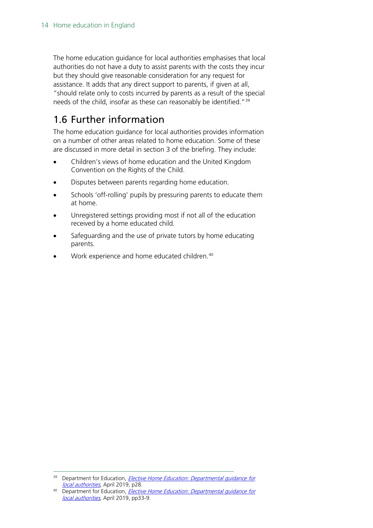The home education guidance for local authorities emphasises that local authorities do not have a duty to assist parents with the costs they incur but they should give reasonable consideration for any request for assistance. It adds that any direct support to parents, if given at all, "should relate only to costs incurred by parents as a result of the special needs of the child, insofar as these can reasonably be identified."<sup>[39](#page-13-1)</sup>

## <span id="page-13-0"></span>1.6 Further information

The home education guidance for local authorities provides information on a number of other areas related to home education. Some of these are discussed in more detail in section 3 of the briefing. They include:

- Children's views of home education and the United Kingdom Convention on the Rights of the Child.
- Disputes between parents regarding home education.
- Schools 'off-rolling' pupils by pressuring parents to educate them at home.
- Unregistered settings providing most if not all of the education received by a home educated child.
- Safeguarding and the use of private tutors by home educating parents.
- Work experience and home educated children.<sup>[40](#page-13-2)</sup>

<span id="page-13-1"></span><sup>&</sup>lt;sup>39</sup> Department for Education, *[Elective Home Education:](https://assets.publishing.service.gov.uk/government/uploads/system/uploads/attachment_data/file/791527/Elective_home_education_gudiance_for_LAv2.0.pdf) Departmental quidance for* local authorities, April 2019, p28.

<span id="page-13-2"></span><sup>&</sup>lt;sup>40</sup> Department for Education, *[Elective Home Education:](https://assets.publishing.service.gov.uk/government/uploads/system/uploads/attachment_data/file/791527/Elective_home_education_gudiance_for_LAv2.0.pdf) Departmental quidance for* local authorities, April 2019, pp33-9.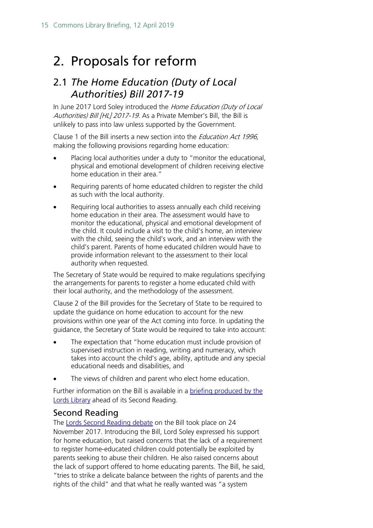## <span id="page-14-0"></span>2. Proposals for reform

### <span id="page-14-1"></span>2.1 *The Home Education (Duty of Local Authorities) Bill 2017-19*

In June 2017 Lord Soley introduced the Home Education (Duty of Local Authorities) Bill [HL] 2017-19. As a Private Member's Bill, the Bill is unlikely to pass into law unless supported by the Government.

Clause 1 of the Bill inserts a new section into the Education Act 1996, making the following provisions regarding home education:

- Placing local authorities under a duty to "monitor the educational, physical and emotional development of children receiving elective home education in their area."
- Requiring parents of home educated children to register the child as such with the local authority.
- Requiring local authorities to assess annually each child receiving home education in their area. The assessment would have to monitor the educational, physical and emotional development of the child. It could include a visit to the child's home, an interview with the child, seeing the child's work, and an interview with the child's parent. Parents of home educated children would have to provide information relevant to the assessment to their local authority when requested.

The Secretary of State would be required to make regulations specifying the arrangements for parents to register a home educated child with their local authority, and the methodology of the assessment.

Clause 2 of the Bill provides for the Secretary of State to be required to update the guidance on home education to account for the new provisions within one year of the Act coming into force. In updating the guidance, the Secretary of State would be required to take into account:

- The expectation that "home education must include provision of supervised instruction in reading, writing and numeracy, which takes into account the child's age, ability, aptitude and any special educational needs and disabilities, and
- The views of children and parent who elect home education.

Further information on the Bill is available in a [briefing produced by the](http://researchbriefings.parliament.uk/ResearchBriefing/Summary/LLN-2017-0084#fullreport)  [Lords Library](http://researchbriefings.parliament.uk/ResearchBriefing/Summary/LLN-2017-0084#fullreport) ahead of its Second Reading.

#### <span id="page-14-2"></span>Second Reading

The [Lords Second Reading debate](https://hansard.parliament.uk/lords/2017-11-24/debates/141D7347-083E-4EAF-9927-AD5283998B76/HomeEducation(DutyOfLocalAuthorities)Bill(HL)) on the Bill took place on 24 November 2017. Introducing the Bill, Lord Soley expressed his support for home education, but raised concerns that the lack of a requirement to register home-educated children could potentially be exploited by parents seeking to abuse their children. He also raised concerns about the lack of support offered to home educating parents. The Bill, he said, "tries to strike a delicate balance between the rights of parents and the rights of the child" and that what he really wanted was "a system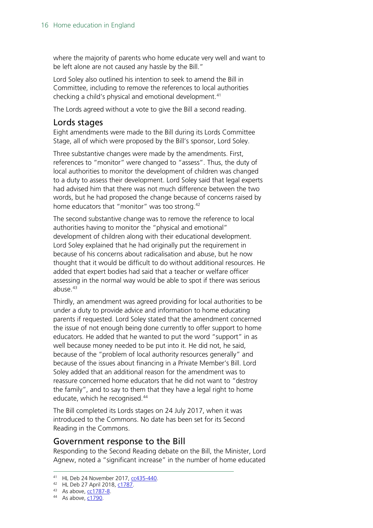where the majority of parents who home educate very well and want to be left alone are not caused any hassle by the Bill."

Lord Soley also outlined his intention to seek to amend the Bill in Committee, including to remove the references to local authorities checking a child's physical and emotional development.[41](#page-15-2)

The Lords agreed without a vote to give the Bill a second reading.

#### <span id="page-15-0"></span>Lords stages

Eight amendments were made to the Bill during its Lords Committee Stage, all of which were proposed by the Bill's sponsor, Lord Soley.

Three substantive changes were made by the amendments. First, references to "monitor" were changed to "assess". Thus, the duty of local authorities to monitor the development of children was changed to a duty to assess their development. Lord Soley said that legal experts had advised him that there was not much difference between the two words, but he had proposed the change because of concerns raised by home educators that "monitor" was too strong.<sup>[42](#page-15-3)</sup>

The second substantive change was to remove the reference to local authorities having to monitor the "physical and emotional" development of children along with their educational development. Lord Soley explained that he had originally put the requirement in because of his concerns about radicalisation and abuse, but he now thought that it would be difficult to do without additional resources. He added that expert bodies had said that a teacher or welfare officer assessing in the normal way would be able to spot if there was serious abuse. $43$ 

Thirdly, an amendment was agreed providing for local authorities to be under a duty to provide advice and information to home educating parents if requested. Lord Soley stated that the amendment concerned the issue of not enough being done currently to offer support to home educators. He added that he wanted to put the word "support" in as well because money needed to be put into it. He did not, he said, because of the "problem of local authority resources generally" and because of the issues about financing in a Private Member's Bill. Lord Soley added that an additional reason for the amendment was to reassure concerned home educators that he did not want to "destroy the family", and to say to them that they have a legal right to home educate, which he recognised.<sup>[44](#page-15-5)</sup>

The Bill completed its Lords stages on 24 July 2017, when it was introduced to the Commons. No date has been set for its Second Reading in the Commons.

#### <span id="page-15-1"></span>Government response to the Bill

Responding to the Second Reading debate on the Bill, the Minister, Lord Agnew, noted a "significant increase" in the number of home educated

<span id="page-15-2"></span> <sup>41</sup> HL Deb 24 November 2017, [cc435-440.](https://hansard.parliament.uk/lords/2017-11-24/debates/141D7347-083E-4EAF-9927-AD5283998B76/HomeEducation(DutyOfLocalAuthorities)Bill(HL)#contribution-951E336D-9064-4C8D-83FA-0F52FF721A92)

<span id="page-15-3"></span><sup>42</sup> HL Deb 27 April 2018, [c1787.](https://hansard.parliament.uk/lords/2018-04-27/debates/2FD5CFFD-B071-413A-B319-251C64ECB2E4/HomeEducation(DutyOfLocalAuthorities)Bill(HL)#contribution-48A1189A-ADAD-4895-96F4-E5D3773B0DCB)

<span id="page-15-4"></span><sup>43</sup> As above, [cc1787-8.](https://hansard.parliament.uk/lords/2018-04-27/debates/2FD5CFFD-B071-413A-B319-251C64ECB2E4/HomeEducation(DutyOfLocalAuthorities)Bill(HL)#contribution-E5C2193E-05C1-4718-A7FB-F5ABE6F64D3C)

<span id="page-15-5"></span><sup>44</sup> As above, [c1790.](https://hansard.parliament.uk/lords/2018-04-27/debates/2FD5CFFD-B071-413A-B319-251C64ECB2E4/HomeEducation(DutyOfLocalAuthorities)Bill(HL)#contribution-E5C2193E-05C1-4718-A7FB-F5ABE6F64D3C)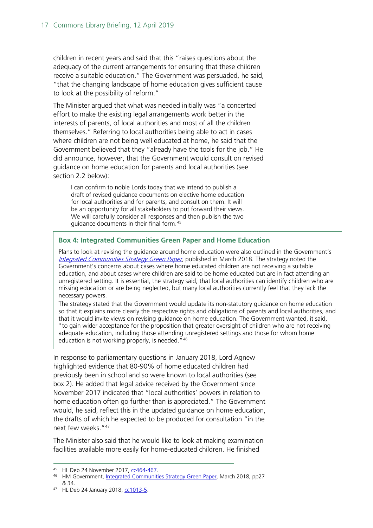children in recent years and said that this "raises questions about the adequacy of the current arrangements for ensuring that these children receive a suitable education." The Government was persuaded, he said, "that the changing landscape of home education gives sufficient cause to look at the possibility of reform."

The Minister argued that what was needed initially was "a concerted effort to make the existing legal arrangements work better in the interests of parents, of local authorities and most of all the children themselves." Referring to local authorities being able to act in cases where children are not being well educated at home, he said that the Government believed that they "already have the tools for the job." He did announce, however, that the Government would consult on revised guidance on home education for parents and local authorities (see section 2.2 below):

I can confirm to noble Lords today that we intend to publish a draft of revised guidance documents on elective home education for local authorities and for parents, and consult on them. It will be an opportunity for all stakeholders to put forward their views. We will carefully consider all responses and then publish the two guidance documents in their final form.[45](#page-16-0)

#### **Box 4: Integrated Communities Green Paper and Home Education**

Plans to look at revising the guidance around home education were also outlined in the Government's [Integrated Communities Strategy Green Paper,](https://assets.publishing.service.gov.uk/government/uploads/system/uploads/attachment_data/file/696993/Integrated_Communities_Strategy.pdf) published in March 2018. The strategy noted the Government's concerns about cases where home educated children are not receiving a suitable education, and about cases where children are said to be home educated but are in fact attending an unregistered setting. It is essential, the strategy said, that local authorities can identify children who are missing education or are being neglected, but many local authorities currently feel that they lack the necessary powers.

The strategy stated that the Government would update its non-statutory guidance on home education so that it explains more clearly the respective rights and obligations of parents and local authorities, and that it would invite views on revising guidance on home education. The Government wanted, it said, "to gain wider acceptance for the proposition that greater oversight of children who are not receiving adequate education, including those attending unregistered settings and those for whom home education is not working properly, is needed."<sup>[46](#page-16-1)</sup>

In response to parliamentary questions in January 2018, Lord Agnew highlighted evidence that 80-90% of home educated children had previously been in school and so were known to local authorities (see box 2). He added that legal advice received by the Government since November 2017 indicated that "local authorities' powers in relation to home education often go further than is appreciated." The Government would, he said, reflect this in the updated guidance on home education, the drafts of which he expected to be produced for consultation "in the next few weeks. "[47](#page-16-2)

The Minister also said that he would like to look at making examination facilities available more easily for home-educated children. He finished

<span id="page-16-0"></span> <sup>45</sup> HL Deb 24 November 2017, [cc464-467.](https://hansard.parliament.uk/lords/2017-11-24/debates/141D7347-083E-4EAF-9927-AD5283998B76/HomeEducation(DutyOfLocalAuthorities)Bill(HL)#contribution-2E6A705B-806B-429B-94FA-6AD300DD51AA)

<span id="page-16-1"></span><sup>46</sup> HM Government, [Integrated Communities Strategy Green Paper](https://assets.publishing.service.gov.uk/government/uploads/system/uploads/attachment_data/file/696993/Integrated_Communities_Strategy.pdf), March 2018, pp27 & 34.

<span id="page-16-2"></span><sup>47</sup> HL Deb 24 January 2018, [cc1013-5.](https://hansard.parliament.uk/lords/2018-01-24/debates/8703FC0E-BC0C-4630-926F-9B71978F6073/ChildrenSchoolAttendance)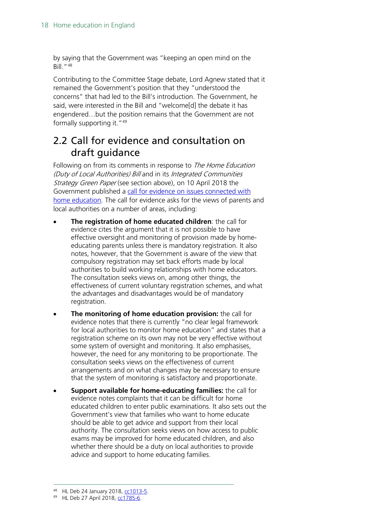by saying that the Government was "keeping an open mind on the Bill."[48](#page-17-1)

Contributing to the Committee Stage debate, Lord Agnew stated that it remained the Government's position that they "understood the concerns" that had led to the Bill's introduction. The Government, he said, were interested in the Bill and "welcome[d] the debate it has engendered…but the position remains that the Government are not formally supporting it."<sup>[49](#page-17-2)</sup>

## <span id="page-17-0"></span>2.2 Call for evidence and consultation on draft guidance

Following on from its comments in response to *The Home Education* (Duty of Local Authorities) Bill and in its Integrated Communities Strategy Green Paper (see section above), on 10 April 2018 the Government published a [call for evidence on issues connected with](https://consult.education.gov.uk/school-frameworks/home-education-call-for-evidence-and-revised-dfe-a/supporting_documents/Elective%20home%20educationcall%20for%20evidence%20%20consultation.pdf)  [home education.](https://consult.education.gov.uk/school-frameworks/home-education-call-for-evidence-and-revised-dfe-a/supporting_documents/Elective%20home%20educationcall%20for%20evidence%20%20consultation.pdf) The call for evidence asks for the views of parents and local authorities on a number of areas, including:

- **The registration of home educated children**: the call for evidence cites the argument that it is not possible to have effective oversight and monitoring of provision made by homeeducating parents unless there is mandatory registration. It also notes, however, that the Government is aware of the view that compulsory registration may set back efforts made by local authorities to build working relationships with home educators. The consultation seeks views on, among other things, the effectiveness of current voluntary registration schemes, and what the advantages and disadvantages would be of mandatory registration.
- **The monitoring of home education provision:** the call for evidence notes that there is currently "no clear legal framework for local authorities to monitor home education" and states that a registration scheme on its own may not be very effective without some system of oversight and monitoring. It also emphasises, however, the need for any monitoring to be proportionate. The consultation seeks views on the effectiveness of current arrangements and on what changes may be necessary to ensure that the system of monitoring is satisfactory and proportionate.
- **Support available for home-educating families:** the call for evidence notes complaints that it can be difficult for home educated children to enter public examinations. It also sets out the Government's view that families who want to home educate should be able to get advice and support from their local authority. The consultation seeks views on how access to public exams may be improved for home educated children, and also whether there should be a duty on local authorities to provide advice and support to home educating families.

 <sup>48</sup> HL Deb 24 January 2018, [cc1013-5.](https://hansard.parliament.uk/lords/2018-01-24/debates/8703FC0E-BC0C-4630-926F-9B71978F6073/ChildrenSchoolAttendance)

<span id="page-17-2"></span><span id="page-17-1"></span><sup>49</sup> HL Deb 27 April 2018, [cc1785-6.](https://hansard.parliament.uk/lords/2018-04-27/debates/2FD5CFFD-B071-413A-B319-251C64ECB2E4/HomeEducation(DutyOfLocalAuthorities)Bill(HL)#contribution-A713439E-61B6-4B1E-AB40-1F0014B7BDD5)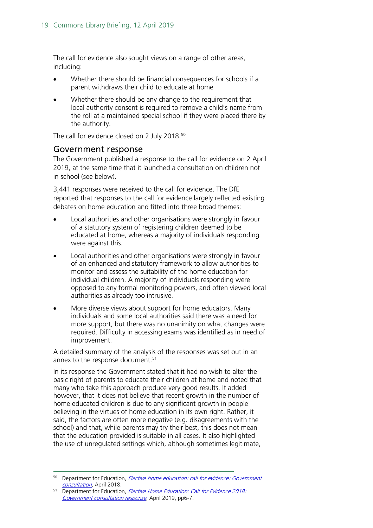The call for evidence also sought views on a range of other areas, including:

- Whether there should be financial consequences for schools if a parent withdraws their child to educate at home
- Whether there should be any change to the requirement that local authority consent is required to remove a child's name from the roll at a maintained special school if they were placed there by the authority.

The call for evidence closed on 2 July 2018.<sup>[50](#page-18-1)</sup>

#### <span id="page-18-0"></span>Government response

The Government published a response to the call for evidence on 2 April 2019, at the same time that it launched a consultation on children not in school (see below).

3,441 responses were received to the call for evidence. The DfE reported that responses to the call for evidence largely reflected existing debates on home education and fitted into three broad themes:

- Local authorities and other organisations were strongly in favour of a statutory system of registering children deemed to be educated at home, whereas a majority of individuals responding were against this.
- Local authorities and other organisations were strongly in favour of an enhanced and statutory framework to allow authorities to monitor and assess the suitability of the home education for individual children. A majority of individuals responding were opposed to any formal monitoring powers, and often viewed local authorities as already too intrusive.
- More diverse views about support for home educators. Many individuals and some local authorities said there was a need for more support, but there was no unanimity on what changes were required. Difficulty in accessing exams was identified as in need of improvement.

A detailed summary of the analysis of the responses was set out in an annex to the response document.<sup>[51](#page-18-2)</sup>

In its response the Government stated that it had no wish to alter the basic right of parents to educate their children at home and noted that many who take this approach produce very good results. It added however, that it does not believe that recent growth in the number of home educated children is due to any significant growth in people believing in the virtues of home education in its own right. Rather, it said, the factors are often more negative (e.g. disagreements with the school) and that, while parents may try their best, this does not mean that the education provided is suitable in all cases. It also highlighted the use of unregulated settings which, although sometimes legitimate,

<span id="page-18-1"></span><sup>&</sup>lt;sup>50</sup> Department for Education, *Elective home education: call for evidence: Government* [consultation,](https://consult.education.gov.uk/school-frameworks/home-education-call-for-evidence-and-revised-dfe-a/supporting_documents/Elective%20home%20educationcall%20for%20evidence%20%20consultation.pdf) April 2018.

<span id="page-18-2"></span><sup>&</sup>lt;sup>51</sup> Department for Education, *Elective Home Education: Call for Evidence 2018:* [Government consultation response](https://assets.publishing.service.gov.uk/government/uploads/system/uploads/attachment_data/file/791552/EHECfEResponseDocumentv9.4.pdf), April 2019, pp6-7.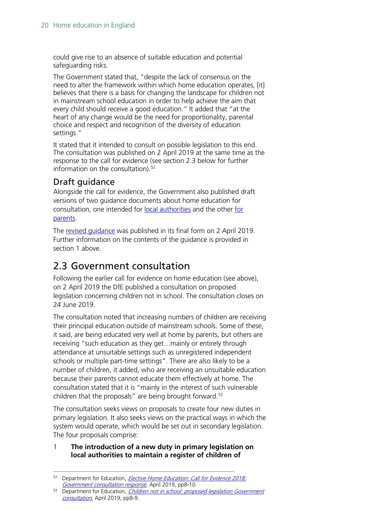could give rise to an absence of suitable education and potential safeguarding risks.

The Government stated that, "despite the lack of consensus on the need to alter the framework within which home education operates, [it] believes that there is a basis for changing the landscape for children not in mainstream school education in order to help achieve the aim that every child should receive a good education." It added that "at the heart of any change would be the need for proportionality, parental choice and respect and recognition of the diversity of education settings."

It stated that it intended to consult on possible legislation to this end. The consultation was published on 2 April 2019 at the same time as the response to the call for evidence (see section 2.3 below for further information on the consultation). $52$ 

#### <span id="page-19-0"></span>Draft guidance

Alongside the call for evidence, the Government also published draft versions of two guidance documents about home education for consultation, one intended for [local authorities](https://consult.education.gov.uk/school-frameworks/home-education-call-for-evidence-and-revised-dfe-a/supporting_documents/Elective%20home%20educationGuide%20for%20LAs.pdf) and the other for [parents.](https://consult.education.gov.uk/school-frameworks/home-education-call-for-evidence-and-revised-dfe-a/supporting_documents/Elective%20home%20educationGuide%20for%20parents.pdf)

The revised quidance was published in its final form on 2 April 2019. Further information on the contents of the guidance is provided in section 1 above.

### <span id="page-19-1"></span>2.3 Government consultation

Following the earlier call for evidence on home education (see above), on 2 April 2019 the DfE published a consultation on proposed legislation concerning children not in school. The consultation closes on 24 June 2019.

The consultation noted that increasing numbers of children are receiving their principal education outside of mainstream schools. Some of these, it said, are being educated very well at home by parents, but others are receiving "such education as they get…mainly or entirely through attendance at unsuitable settings such as unregistered independent schools or multiple part-time settings". There are also likely to be a number of children, it added, who are receiving an unsuitable education because their parents cannot educate them effectively at home. The consultation stated that it is "mainly in the interest of such vulnerable children that the proposals" are being brought forward.<sup>53</sup>

The consultation seeks views on proposals to create four new duties in primary legislation. It also seeks views on the practical ways in which the system would operate, which would be set out in secondary legislation. The four proposals comprise:

#### 1 **The introduction of a new duty in primary legislation on local authorities to maintain a register of children of**

<span id="page-19-2"></span><sup>&</sup>lt;sup>52</sup> Department for Education, *Elective Home Education: Call for Evidence 2018:* [Government consultation response](https://assets.publishing.service.gov.uk/government/uploads/system/uploads/attachment_data/file/791552/EHECfEResponseDocumentv9.4.pdf), April 2019, pp8-10.

<span id="page-19-3"></span><sup>53</sup> Department for Education, *Children not in school: proposed legislation Government* [consultation](https://consult.education.gov.uk/school-frameworks/children-not-in-school/supporting_documents/EHE2019consultationpaperv9.5.pdf), April 2019, pp8-9.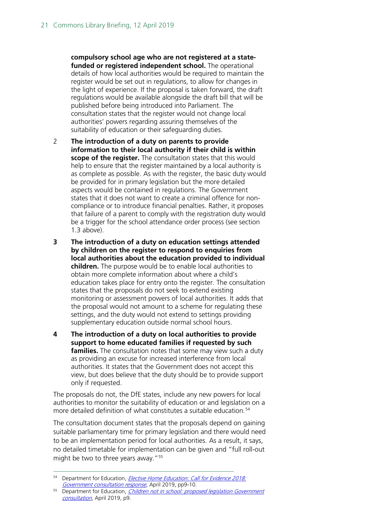**compulsory school age who are not registered at a statefunded or registered independent school.** The operational details of how local authorities would be required to maintain the register would be set out in regulations, to allow for changes in the light of experience. If the proposal is taken forward, the draft regulations would be available alongside the draft bill that will be published before being introduced into Parliament. The consultation states that the register would not change local authorities' powers regarding assuring themselves of the suitability of education or their safeguarding duties.

- 2 **The introduction of a duty on parents to provide information to their local authority if their child is within scope of the register.** The consultation states that this would help to ensure that the register maintained by a local authority is as complete as possible. As with the register, the basic duty would be provided for in primary legislation but the more detailed aspects would be contained in regulations. The Government states that it does not want to create a criminal offence for noncompliance or to introduce financial penalties. Rather, it proposes that failure of a parent to comply with the registration duty would be a trigger for the school attendance order process (see section 1.3 above).
- **3 The introduction of a duty on education settings attended by children on the register to respond to enquiries from local authorities about the education provided to individual children.** The purpose would be to enable local authorities to obtain more complete information about where a child's education takes place for entry onto the register. The consultation states that the proposals do not seek to extend existing monitoring or assessment powers of local authorities. It adds that the proposal would not amount to a scheme for regulating these settings, and the duty would not extend to settings providing supplementary education outside normal school hours.
- **4 The introduction of a duty on local authorities to provide support to home educated families if requested by such families.** The consultation notes that some may view such a duty as providing an excuse for increased interference from local authorities. It states that the Government does not accept this view, but does believe that the duty should be to provide support only if requested.

The proposals do not, the DfE states, include any new powers for local authorities to monitor the suitability of education or and legislation on a more detailed definition of what constitutes a suitable education.<sup>[54](#page-20-0)</sup>

The consultation document states that the proposals depend on gaining suitable parliamentary time for primary legislation and there would need to be an implementation period for local authorities. As a result, it says, no detailed timetable for implementation can be given and "full roll-out might be two to three years away."<sup>[55](#page-20-1)</sup>

<span id="page-20-0"></span><sup>&</sup>lt;sup>54</sup> Department for Education, *Elective Home Education: Call for Evidence 2018:* [Government consultation response](https://assets.publishing.service.gov.uk/government/uploads/system/uploads/attachment_data/file/791552/EHECfEResponseDocumentv9.4.pdf), April 2019, pp9-10.

<span id="page-20-1"></span><sup>&</sup>lt;sup>55</sup> Department for Education, *Children not in school: proposed legislation Government* [consultation](https://consult.education.gov.uk/school-frameworks/children-not-in-school/supporting_documents/EHE2019consultationpaperv9.5.pdf), April 2019, p9.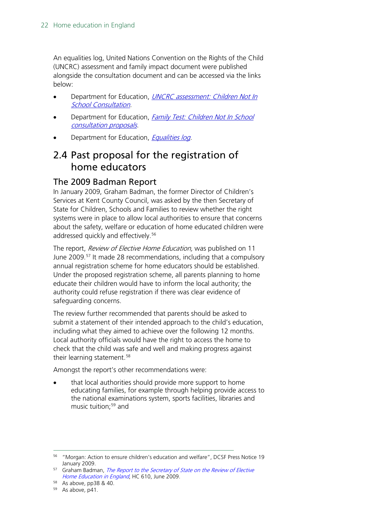An equalities log, United Nations Convention on the Rights of the Child (UNCRC) assessment and family impact document were published alongside the consultation document and can be accessed via the links below:

- Department for Education, UNCRC assessment: Children Not In **[School Consultation](https://consult.education.gov.uk/school-frameworks/children-not-in-school/supporting_documents/BRANDED_UNCRC%20assessmentEHEproposalsv2.0.pdf)**.
- Department for Education, Family Test: Children Not In School [consultation proposals](https://consult.education.gov.uk/school-frameworks/children-not-in-school/supporting_documents/BRANDED_Family%20TestEHE2019v2.0.pdf).
- Department for Education, *[Equalities log.](https://consult.education.gov.uk/school-frameworks/children-not-in-school/supporting_documents/BRANDEDTheEqualitiesLogBlankTemplateEHE2019consultationv4.0.pdf)*

### <span id="page-21-0"></span>2.4 Past proposal for the registration of home educators

#### <span id="page-21-1"></span>The 2009 Badman Report

In January 2009, Graham Badman, the former Director of Children's Services at Kent County Council, was asked by the then Secretary of State for Children, Schools and Families to review whether the right systems were in place to allow local authorities to ensure that concerns about the safety, welfare or education of home educated children were addressed quickly and effectively.<sup>[56](#page-21-2)</sup>

The report, Review of Elective Home Education, was published on 11 June 2009.<sup>[57](#page-21-3)</sup> It made 28 recommendations, including that a compulsory annual registration scheme for home educators should be established. Under the proposed registration scheme, all parents planning to home educate their children would have to inform the local authority; the authority could refuse registration if there was clear evidence of safeguarding concerns.

The review further recommended that parents should be asked to submit a statement of their intended approach to the child's education, including what they aimed to achieve over the following 12 months. Local authority officials would have the right to access the home to check that the child was safe and well and making progress against their learning statement.<sup>[58](#page-21-4)</sup>

Amongst the report's other recommendations were:

that local authorities should provide more support to home educating families, for example through helping provide access to the national examinations system, sports facilities, libraries and music tuition;<sup>59</sup> and

<span id="page-21-2"></span><sup>&</sup>lt;sup>56</sup> "Morgan: Action to ensure children's education and welfare", DCSF Press Notice 19<br>January 2009.

<span id="page-21-3"></span><sup>&</sup>lt;sup>57</sup> Graham Badman, *The Report to the Secretary of State on the Review of Elective* [Home Education in England](https://www.education.gov.uk/consultations/downloadableDocs/PDF%20FINAL%20HOME%20ED.pdf), HC 610, June 2009.

<span id="page-21-4"></span><sup>58</sup> As above, pp38 & 40.

<span id="page-21-5"></span> $59$  As above, p41.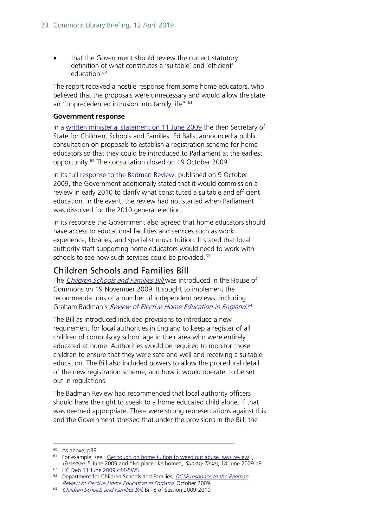that the Government should review the current statutory definition of what constitutes a 'suitable' and 'efficient' education. [60](#page-22-1)

The report received a hostile response from some home educators, who believed that the proposals were unnecessary and would allow the state an "unprecedented intrusion into family life".<sup>[61](#page-22-2)</sup>

#### **Government response**

In a [written ministerial statement on 11 June 2009](http://www.publications.parliament.uk/pa/cm200809/cmhansrd/cm090611/wmstext/90611m0001.htm#09061143000011) the then Secretary of State for Children, Schools and Families, Ed Balls, announced a public consultation on proposals to establish a registration scheme for home educators so that they could be introduced to Parliament at the earliest opportunity.[62](#page-22-3) The consultation closed on 19 October 2009.

In its [full response to the Badman Review,](http://dera.ioe.ac.uk/10556/1/index.html%3Fid%3D6667) published on 9 October 2009, the Government additionally stated that it would commission a review in early 2010 to clarify what constituted a suitable and efficient education. In the event, the review had not started when Parliament was dissolved for the 2010 general election.

In its response the Government also agreed that home educators should have access to educational facilities and services such as work experience, libraries, and specialist music tuition. It stated that local authority staff supporting home educators would need to work with schools to see how such services could be provided.<sup>[63](#page-22-4)</sup>

#### <span id="page-22-0"></span>Children Schools and Families Bill

The *Children Schools and Families Bill* was introduced in the House of Commons on 19 November 2009. It sought to implement the recommendations of a number of independent reviews, including Graham Badman's *[Review of Elective Home Education in England](https://www.education.gov.uk/consultations/downloadableDocs/PDF%20FINAL%20HOME%20ED.pdf).*<sup>[64](#page-22-5)</sup>

The Bill as introduced included provisions to introduce a new requirement for local authorities in England to keep a register of all children of compulsory school age in their area who were entirely educated at home. Authorities would be required to monitor those children to ensure that they were safe and well and receiving a suitable education. The Bill also included powers to allow the procedural detail of the new registration scheme, and how it would operate, to be set out in regulations.

The Badman Review had recommended that local authority officers should have the right to speak to a home educated child alone, if that was deemed appropriate. There were strong representations against this and the Government stressed that under the provisions in the Bill, the

<span id="page-22-1"></span> $60$  As above, p39.

<span id="page-22-2"></span><sup>&</sup>lt;sup>61</sup> For example, see ["Get tough on home tuition to weed out abuse, says review"](http://www.theguardian.com/education/2009/jun/05/home-schooling-education-crack-down) Guardian, 5 June 2009 and "No place like home", Sunday Times, 14 June 2009 p9.

<span id="page-22-3"></span><sup>62</sup> [HC Deb 11 June 2009 c44-5WS.](http://www.publications.parliament.uk/pa/cm200809/cmhansrd/cm090611/wmstext/90611m0001.htm#09061143000011)

<span id="page-22-4"></span><sup>&</sup>lt;sup>63</sup> Department for Children Schools and Families, *DCSF response to the Badman* [Review of Elective Home Education in England](http://dera.ioe.ac.uk/10556/1/index.html%3Fid%3D6667), October 2009.

<span id="page-22-5"></span><sup>64</sup> [Children Schools and Families Bill,](http://www.publications.parliament.uk/pa/cm200910/cmbills/008/10008.i-iii.html) Bill 8 of Session 2009-2010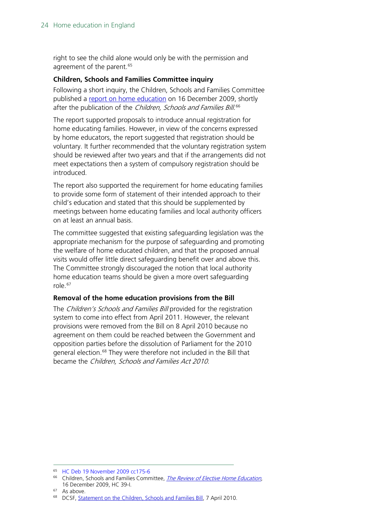right to see the child alone would only be with the permission and agreement of the parent.<sup>[65](#page-23-0)</sup>

#### **Children, Schools and Families Committee inquiry**

Following a short inquiry, the Children, Schools and Families Committee published a [report on home education](http://www.publications.parliament.uk/pa/cm200910/cmselect/cmchilsch/39/39i.pdf) on 16 December 2009, shortly after the publication of the *Children, Schools and Families Bill.*<sup>[66](#page-23-1)</sup>

The report supported proposals to introduce annual registration for home educating families. However, in view of the concerns expressed by home educators, the report suggested that registration should be voluntary. It further recommended that the voluntary registration system should be reviewed after two years and that if the arrangements did not meet expectations then a system of compulsory registration should be introduced.

The report also supported the requirement for home educating families to provide some form of statement of their intended approach to their child's education and stated that this should be supplemented by meetings between home educating families and local authority officers on at least an annual basis.

The committee suggested that existing safeguarding legislation was the appropriate mechanism for the purpose of safeguarding and promoting the welfare of home educated children, and that the proposed annual visits would offer little direct safeguarding benefit over and above this. The Committee strongly discouraged the notion that local authority home education teams should be given a more overt safeguarding role.[67](#page-23-2)

#### **Removal of the home education provisions from the Bill**

The *Children's Schools and Families Bill* provided for the registration system to come into effect from April 2011. However, the relevant provisions were removed from the Bill on 8 April 2010 because no agreement on them could be reached between the Government and opposition parties before the dissolution of Parliament for the 2010 general election.<sup>[68](#page-23-3)</sup> They were therefore not included in the Bill that became the Children, Schools and Families Act 2010.

<span id="page-23-0"></span> <sup>65</sup> [HC Deb 19 November 2009 cc175-6](http://www.publications.parliament.uk/pa/cm200910/cmhansrd/cm091119/debtext/91119-0003.htm#09111936000002)

<span id="page-23-1"></span><sup>&</sup>lt;sup>66</sup> Children, Schools and Families Committee, *[The Review of Elective Home Education](http://www.publications.parliament.uk/pa/cm200910/cmselect/cmchilsch/39/39i.pdf)*, 16 December 2009, HC 39-I.

<span id="page-23-3"></span><span id="page-23-2"></span><sup>67</sup> As above.

<sup>68</sup> DCSF, [Statement on the Children, Schools and Families Bill,](http://webarchive.nationalarchives.gov.uk/20100511104923/http:/dcsf.gov.uk/news/index.cfm?event=news.item&id=statement_on_the_children_schools_and_families_bill) 7 April 2010.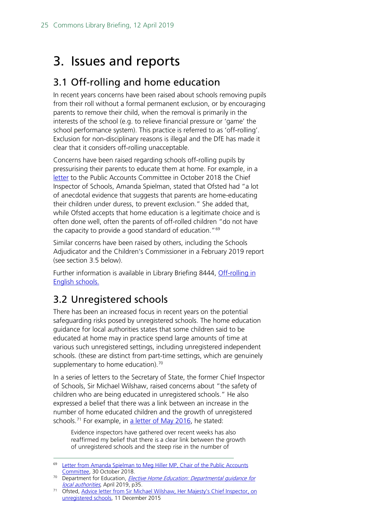## <span id="page-24-0"></span>3. Issues and reports

## <span id="page-24-1"></span>3.1 Off-rolling and home education

In recent years concerns have been raised about schools removing pupils from their roll without a formal permanent exclusion, or by encouraging parents to remove their child, when the removal is primarily in the interests of the school (e.g. to relieve financial pressure or 'game' the school performance system). This practice is referred to as 'off-rolling'. Exclusion for non-disciplinary reasons is illegal and the DfE has made it clear that it considers off-rolling unacceptable.

Concerns have been raised regarding schools off-rolling pupils by pressurising their parents to educate them at home. For example, in a [letter](https://assets.publishing.service.gov.uk/government/uploads/system/uploads/attachment_data/file/752721/HMCI_PAC_letter_311018.pdf) to the Public Accounts Committee in October 2018 the Chief Inspector of Schools, Amanda Spielman, stated that Ofsted had "a lot of anecdotal evidence that suggests that parents are home-educating their children under duress, to prevent exclusion." She added that, while Ofsted accepts that home education is a legitimate choice and is often done well, often the parents of off-rolled children "do not have the capacity to provide a good standard of education."<sup>[69](#page-24-3)</sup>

Similar concerns have been raised by others, including the Schools Adjudicator and the Children's Commissioner in a February 2019 report (see section 3.5 below).

Further information is available in Library Briefing 8444, [Off-rolling in](https://researchbriefings.parliament.uk/ResearchBriefing/Summary/CBP-8444#fullreport)  [English schools.](https://researchbriefings.parliament.uk/ResearchBriefing/Summary/CBP-8444#fullreport)

## <span id="page-24-2"></span>3.2 Unregistered schools

There has been an increased focus in recent years on the potential safeguarding risks posed by unregistered schools. The home education guidance for local authorities states that some children said to be educated at home may in practice spend large amounts of time at various such unregistered settings, including unregistered independent schools. (these are distinct from part-time settings, which are genuinely supplementary to home education). $70$ 

In a series of letters to the Secretary of State, the former Chief Inspector of Schools, Sir Michael Wilshaw, raised concerns about "the safety of children who are being educated in unregistered schools." He also expressed a belief that there was a link between an increase in the number of home educated children and the growth of unregistered schools.<sup>[71](#page-24-5)</sup> For example, in [a letter of May 2016,](https://www.gov.uk/government/uploads/system/uploads/attachment_data/file/523694/Unregistered_schools_advice_note_16_May_2016.pdf) he stated:

Evidence inspectors have gathered over recent weeks has also reaffirmed my belief that there is a clear link between the growth of unregistered schools and the steep rise in the number of

<span id="page-24-3"></span><sup>&</sup>lt;sup>69</sup> Letter from Amanda Spielman to Meg Hiller MP, Chair of the Public Accounts [Committee,](https://assets.publishing.service.gov.uk/government/uploads/system/uploads/attachment_data/file/752721/HMCI_PAC_letter_311018.pdf) 30 October 2018.

<span id="page-24-4"></span><sup>&</sup>lt;sup>70</sup> Department for Education, *[Elective Home Education:](https://assets.publishing.service.gov.uk/government/uploads/system/uploads/attachment_data/file/791527/Elective_home_education_gudiance_for_LAv2.0.pdf) Departmental guidance for* local authorities, April 2019, p35.

<span id="page-24-5"></span><sup>71</sup> Ofsted, [Advice letter from Sir Michael Wilshaw, Her Majesty's Chief Inspector,](https://www.gov.uk/government/uploads/system/uploads/attachment_data/file/484458/151211_HMCI_to_Secretary_of_State_advice_note_on_3_unregistered.pdf) on [unregistered schools,](https://www.gov.uk/government/uploads/system/uploads/attachment_data/file/484458/151211_HMCI_to_Secretary_of_State_advice_note_on_3_unregistered.pdf) 11 December 2015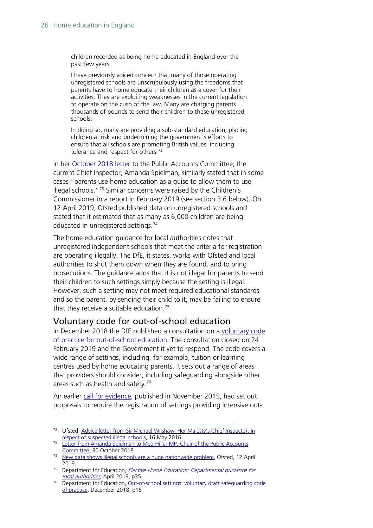children recorded as being home educated in England over the past few years.

I have previously voiced concern that many of those operating unregistered schools are unscrupulously using the freedoms that parents have to home educate their children as a cover for their activities. They are exploiting weaknesses in the current legislation to operate on the cusp of the law. Many are charging parents thousands of pounds to send their children to these unregistered schools.

In doing so, many are providing a sub-standard education, placing children at risk and undermining the government's efforts to ensure that all schools are promoting British values, including tolerance and respect for others.<sup>[72](#page-25-1)</sup>

In her [October 2018](https://assets.publishing.service.gov.uk/government/uploads/system/uploads/attachment_data/file/752721/HMCI_PAC_letter_311018.pdf) letter to the Public Accounts Committee, the current Chief Inspector, Amanda Spielman, similarly stated that in some cases "parents use home education as a guise to allow them to use illegal schools."[73](#page-25-2) Similar concerns were raised by the Children's Commissioner in a report in February 2019 (see section 3.6 below). On 12 April 2019, Ofsted published data on unregistered schools and stated that it estimated that as many as 6,000 children are being educated in unregistered settings.<sup>74</sup>

The home education guidance for local authorities notes that unregistered independent schools that meet the criteria for registration are operating illegally. The DfE, it states, works with Ofsted and local authorities to shut them down when they are found, and to bring prosecutions. The guidance adds that it is not illegal for parents to send their children to such settings simply because the setting is illegal. However, such a setting may not meet required educational standards and so the parent, by sending their child to it, may be failing to ensure that they receive a suitable education.<sup>[75](#page-25-4)</sup>

#### <span id="page-25-0"></span>Voluntary code for out-of-school education

In December 2018 the DfE published a consultation on a [voluntary code](https://www.gov.uk/government/consultations/out-of-school-settings-voluntary-safeguarding-code-of-practice)  [of practice for out-of-school education.](https://www.gov.uk/government/consultations/out-of-school-settings-voluntary-safeguarding-code-of-practice) The consultation closed on 24 February 2019 and the Government it yet to respond. The code covers a wide range of settings, including, for example, tuition or learning centres used by home educating parents. It sets out a range of areas that providers should consider, including safeguarding alongside other areas such as health and safety. $76$ 

An earlier [call for evidence,](https://www.gov.uk/government/uploads/system/uploads/attachment_data/file/480133/out_of_school_education_settings_call_for_evidence.pdf) published in November 2015, had set out proposals to require the registration of settings providing intensive out-

<span id="page-25-1"></span><sup>72</sup> Ofsted, Advice letter from Sir Michael Wilshaw, Her Majesty's Chief Inspector, in [respect of suspected illegal schools,](https://www.gov.uk/government/uploads/system/uploads/attachment_data/file/523694/Unregistered_schools_advice_note_16_May_2016.pdf) 16 May 2016.<br><sup>73</sup> Letter from Amanda Spielman to Meg Hiller MP, Chair of the Public Accounts

<span id="page-25-2"></span>[Committee,](https://assets.publishing.service.gov.uk/government/uploads/system/uploads/attachment_data/file/752721/HMCI_PAC_letter_311018.pdf) 30 October 2018.

<span id="page-25-3"></span><sup>&</sup>lt;sup>74</sup> [New data shows illegal schools are a huge nationwide problem,](https://www.gov.uk/government/news/new-data-shows-illegal-schools-are-a-huge-nationwide-problem) Ofsted, 12 April 2019.

<span id="page-25-4"></span><sup>&</sup>lt;sup>75</sup> Department for Education, *[Elective Home Education:](https://assets.publishing.service.gov.uk/government/uploads/system/uploads/attachment_data/file/791527/Elective_home_education_gudiance_for_LAv2.0.pdf) Departmental quidance for* local authorities, April 2019, p35.

<span id="page-25-5"></span><sup>&</sup>lt;sup>76</sup> Department for Education, <u>Out-of-school settings: voluntary draft safeguarding code</u> [of practice,](https://consult.education.gov.uk/regulatory-framework-unit/out-of-school-settings-voluntary-safeguarding-code/supporting_documents/Voluntary%20safeguarding%20code%20of%20practiceDraft%20guidance.pdf) December 2018, p15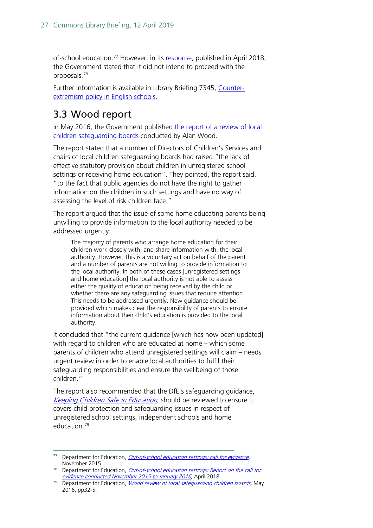of-school education.<sup>[77](#page-26-1)</sup> However, in its [response,](https://www.gov.uk/government/consultations/out-of-school-education-settings-registration-and-inspection) published in April 2018, the Government stated that it did not intend to proceed with the proposals. [78](#page-26-2)

Further information is available in Library Briefing 7345, [Counter](http://researchbriefings.parliament.uk/ResearchBriefing/Summary/CBP-7345)[extremism policy in English schools.](http://researchbriefings.parliament.uk/ResearchBriefing/Summary/CBP-7345)

## <span id="page-26-0"></span>3.3 Wood report

In May 2016, the Government published [the report of a review of local](https://www.gov.uk/government/publications/wood-review-of-local-safeguarding-children-boards)  [children safeguarding boards](https://www.gov.uk/government/publications/wood-review-of-local-safeguarding-children-boards) conducted by Alan Wood.

The report stated that a number of Directors of Children's Services and chairs of local children safeguarding boards had raised "the lack of effective statutory provision about children in unregistered school settings or receiving home education". They pointed, the report said, "to the fact that public agencies do not have the right to gather information on the children in such settings and have no way of assessing the level of risk children face."

The report argued that the issue of some home educating parents being unwilling to provide information to the local authority needed to be addressed urgently:

The majority of parents who arrange home education for their children work closely with, and share information with, the local authority. However, this is a voluntary act on behalf of the parent and a number of parents are not willing to provide information to the local authority. In both of these cases [unregistered settings and home education] the local authority is not able to assess either the quality of education being received by the child or whether there are any safeguarding issues that require attention. This needs to be addressed urgently. New guidance should be provided which makes clear the responsibility of parents to ensure information about their child's education is provided to the local authority.

It concluded that "the current guidance [which has now been updated] with regard to children who are educated at home – which some parents of children who attend unregistered settings will claim – needs urgent review in order to enable local authorities to fulfil their safeguarding responsibilities and ensure the wellbeing of those children."

The report also recommended that the DfE's safeguarding guidance, [Keeping Children Safe in Education,](https://www.gov.uk/government/publications/keeping-children-safe-in-education--2) should be reviewed to ensure it covers child protection and safeguarding issues in respect of unregistered school settings, independent schools and home education.[79](#page-26-3)

<span id="page-26-1"></span><sup>&</sup>lt;sup>77</sup> Department for Education, *[Out-of-school education settings: call for evidence](https://www.gov.uk/government/uploads/system/uploads/attachment_data/file/480133/out_of_school_education_settings_call_for_evidence.pdf)*, November 2015.

<span id="page-26-2"></span><sup>&</sup>lt;sup>78</sup> Department for Education, *Out-of-school education settings: Report on the call for* [evidence conducted November 2015 to January 2016,](https://assets.publishing.service.gov.uk/government/uploads/system/uploads/attachment_data/file/698250/Out-of-school_education_settings-Report_on_the_call_for-evidence.pdf) April 2018.

<span id="page-26-3"></span><sup>&</sup>lt;sup>79</sup> Department for Education, *Wood review of local safeguarding children boards*, May 2016, pp32-5.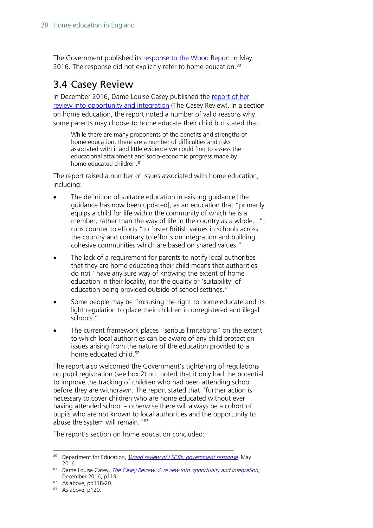The Government published its [response to the Wood Report](https://www.gov.uk/government/publications/wood-review-of-lscbs-government-response) in May 2016. The response did not explicitly refer to home education.<sup>[80](#page-27-1)</sup>

## <span id="page-27-0"></span>3.4 Casey Review

In December 2016, Dame Louise Casey published the report of her [review into opportunity and integration](https://www.gov.uk/government/publications/the-casey-review-a-review-into-opportunity-and-integration) (The Casey Review). In a section on home education, the report noted a number of valid reasons why some parents may choose to home educate their child but stated that:

While there are many proponents of the benefits and strengths of home education, there are a number of difficulties and risks associated with it and little evidence we could find to assess the educational attainment and socio-economic progress made by home educated children.<sup>[81](#page-27-2)</sup>

The report raised a number of issues associated with home education, including:

- The definition of suitable education in existing guidance [the guidance has now been updated], as an education that "primarily equips a child for life within the community of which he is a member, rather than the way of life in the country as a whole…", runs counter to efforts "to foster British values in schools across the country and contrary to efforts on integration and building cohesive communities which are based on shared values."
- The lack of a requirement for parents to notify local authorities that they are home educating their child means that authorities do not "have any sure way of knowing the extent of home education in their locality, nor the quality or 'suitability' of education being provided outside of school settings."
- Some people may be "misusing the right to home educate and its light regulation to place their children in unregistered and illegal schools."
- The current framework places "serious limitations" on the extent to which local authorities can be aware of any child protection issues arising from the nature of the education provided to a home educated child.<sup>[82](#page-27-3)</sup>

The report also welcomed the Government's tightening of regulations on pupil registration (see box 2) but noted that it only had the potential to improve the tracking of children who had been attending school before they are withdrawn. The report stated that "further action is necessary to cover children who are home educated without ever having attended school – otherwise there will always be a cohort of pupils who are not known to local authorities and the opportunity to abuse the system will remain."<sup>[83](#page-27-4)</sup>

The report's section on home education concluded:

<span id="page-27-1"></span><sup>80</sup> Department for Education, *[Wood review of LSCBs: government response](https://www.gov.uk/government/publications/wood-review-of-lscbs-government-response)*, May 2016.

<span id="page-27-2"></span><sup>&</sup>lt;sup>81</sup> Dame Louise Casey, *The Casey Review: A review into opportunity and integration*, December 2016, p119.

<sup>82</sup> As above, pp118-20.

<span id="page-27-4"></span><span id="page-27-3"></span> $83$  As above, p120.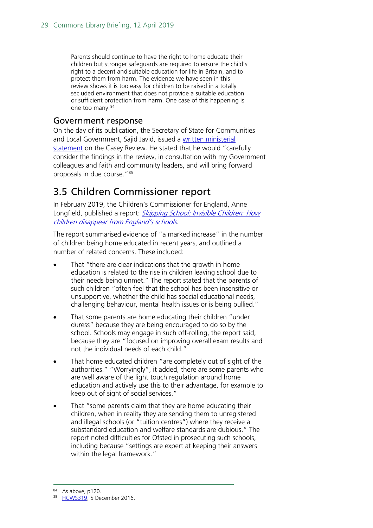Parents should continue to have the right to home educate their children but stronger safeguards are required to ensure the child's right to a decent and suitable education for life in Britain, and to protect them from harm. The evidence we have seen in this review shows it is too easy for children to be raised in a totally secluded environment that does not provide a suitable education or sufficient protection from harm. One case of this happening is one too many. [84](#page-28-2)

#### <span id="page-28-0"></span>Government response

On the day of its publication, the Secretary of State for Communities and Local Government, Sajid Javid, issued a written ministerial [statement](https://hansard.parliament.uk/commons/2016-12-05/debates/1612057000017/OpportunityAndIntegration) on the Casey Review. He stated that he would "carefully consider the findings in the review, in consultation with my Government colleagues and faith and community leaders, and will bring forward proposals in due course."<sup>85</sup>

### <span id="page-28-1"></span>3.5 Children Commissioner report

In February 2019, the Children's Commissioner for England, Anne Longfield, published a report: *Skipping School: Invisible Children: How* [children disappear from England's schools](https://www.childrenscommissioner.gov.uk/wp-content/uploads/2019/02/cco-skipping-school-invisible-children-feb-2019.pdf).

The report summarised evidence of "a marked increase" in the number of children being home educated in recent years, and outlined a number of related concerns. These included:

- That "there are clear indications that the growth in home education is related to the rise in children leaving school due to their needs being unmet." The report stated that the parents of such children "often feel that the school has been insensitive or unsupportive, whether the child has special educational needs, challenging behaviour, mental health issues or is being bullied."
- That some parents are home educating their children "under duress" because they are being encouraged to do so by the school. Schools may engage in such off-rolling, the report said, because they are "focused on improving overall exam results and not the individual needs of each child."
- That home educated children "are completely out of sight of the authorities." "Worryingly", it added, there are some parents who are well aware of the light touch regulation around home education and actively use this to their advantage, for example to keep out of sight of social services."
- That "some parents claim that they are home educating their children, when in reality they are sending them to unregistered and illegal schools (or "tuition centres") where they receive a substandard education and welfare standards are dubious." The report noted difficulties for Ofsted in prosecuting such schools, including because "settings are expert at keeping their answers within the legal framework."

<span id="page-28-2"></span><sup>84</sup> As above, p120.

<span id="page-28-3"></span><sup>85</sup> [HCWS319,](https://hansard.parliament.uk/commons/2016-12-05/debates/1612057000017/OpportunityAndIntegration) 5 December 2016.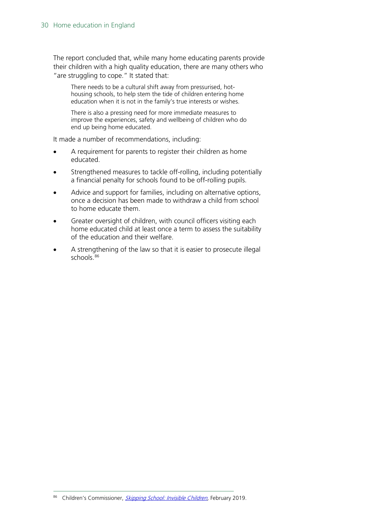The report concluded that, while many home educating parents provide their children with a high quality education, there are many others who "are struggling to cope." It stated that:

There needs to be a cultural shift away from pressurised, hothousing schools, to help stem the tide of children entering home education when it is not in the family's true interests or wishes.

There is also a pressing need for more immediate measures to improve the experiences, safety and wellbeing of children who do end up being home educated.

It made a number of recommendations, including:

- A requirement for parents to register their children as home educated.
- Strengthened measures to tackle off-rolling, including potentially a financial penalty for schools found to be off-rolling pupils.
- Advice and support for families, including on alternative options, once a decision has been made to withdraw a child from school to home educate them.
- Greater oversight of children, with council officers visiting each home educated child at least once a term to assess the suitability of the education and their welfare.
- A strengthening of the law so that it is easier to prosecute illegal schools.<sup>[86](#page-29-0)</sup>

<span id="page-29-0"></span><sup>86</sup> Children's Commissioner, [Skipping School: Invisible Children,](https://www.childrenscommissioner.gov.uk/wp-content/uploads/2019/02/cco-skipping-school-invisible-children-feb-2019.pdf) February 2019.